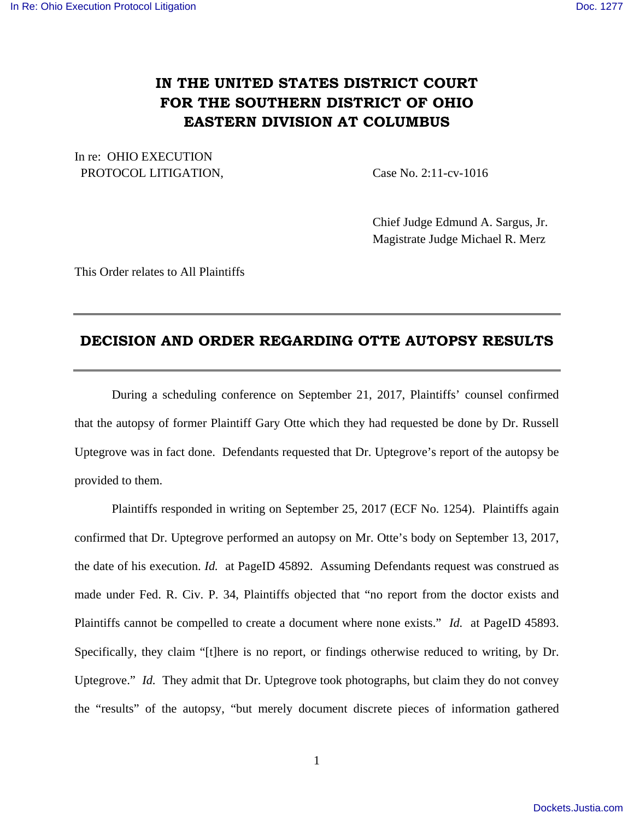## **IN THE UNITED STATES DISTRICT COURT FOR THE SOUTHERN DISTRICT OF OHIO EASTERN DIVISION AT COLUMBUS**

In re: OHIO EXECUTION PROTOCOL LITIGATION, Case No. 2:11-cv-1016

 Chief Judge Edmund A. Sargus, Jr. Magistrate Judge Michael R. Merz

This Order relates to All Plaintiffs

## **DECISION AND ORDER REGARDING OTTE AUTOPSY RESULTS**

 During a scheduling conference on September 21, 2017, Plaintiffs' counsel confirmed that the autopsy of former Plaintiff Gary Otte which they had requested be done by Dr. Russell Uptegrove was in fact done. Defendants requested that Dr. Uptegrove's report of the autopsy be provided to them.

 Plaintiffs responded in writing on September 25, 2017 (ECF No. 1254). Plaintiffs again confirmed that Dr. Uptegrove performed an autopsy on Mr. Otte's body on September 13, 2017, the date of his execution. *Id.* at PageID 45892. Assuming Defendants request was construed as made under Fed. R. Civ. P. 34, Plaintiffs objected that "no report from the doctor exists and Plaintiffs cannot be compelled to create a document where none exists." *Id.* at PageID 45893. Specifically, they claim "[t]here is no report, or findings otherwise reduced to writing, by Dr. Uptegrove." *Id.* They admit that Dr. Uptegrove took photographs, but claim they do not convey the "results" of the autopsy, "but merely document discrete pieces of information gathered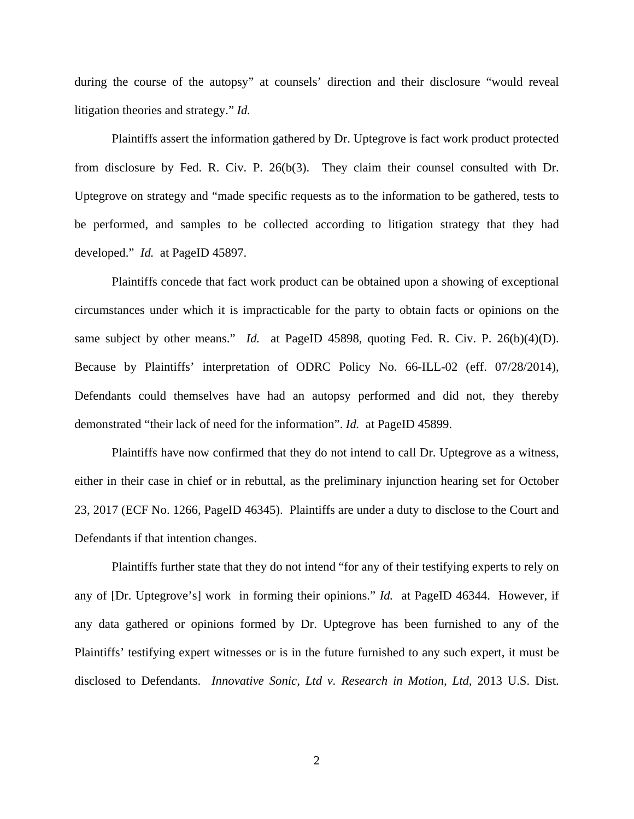during the course of the autopsy" at counsels' direction and their disclosure "would reveal litigation theories and strategy." *Id.* 

 Plaintiffs assert the information gathered by Dr. Uptegrove is fact work product protected from disclosure by Fed. R. Civ. P. 26(b(3). They claim their counsel consulted with Dr. Uptegrove on strategy and "made specific requests as to the information to be gathered, tests to be performed, and samples to be collected according to litigation strategy that they had developed." *Id.* at PageID 45897.

 Plaintiffs concede that fact work product can be obtained upon a showing of exceptional circumstances under which it is impracticable for the party to obtain facts or opinions on the same subject by other means." *Id.* at PageID 45898, quoting Fed. R. Civ. P. 26(b)(4)(D). Because by Plaintiffs' interpretation of ODRC Policy No. 66-ILL-02 (eff. 07/28/2014), Defendants could themselves have had an autopsy performed and did not, they thereby demonstrated "their lack of need for the information". *Id.* at PageID 45899.

 Plaintiffs have now confirmed that they do not intend to call Dr. Uptegrove as a witness, either in their case in chief or in rebuttal, as the preliminary injunction hearing set for October 23, 2017 (ECF No. 1266, PageID 46345). Plaintiffs are under a duty to disclose to the Court and Defendants if that intention changes.

Plaintiffs further state that they do not intend "for any of their testifying experts to rely on any of [Dr. Uptegrove's] work in forming their opinions." *Id.* at PageID 46344. However, if any data gathered or opinions formed by Dr. Uptegrove has been furnished to any of the Plaintiffs' testifying expert witnesses or is in the future furnished to any such expert, it must be disclosed to Defendants. *Innovative Sonic, Ltd v. Research in Motion, Ltd,* 2013 U.S. Dist.